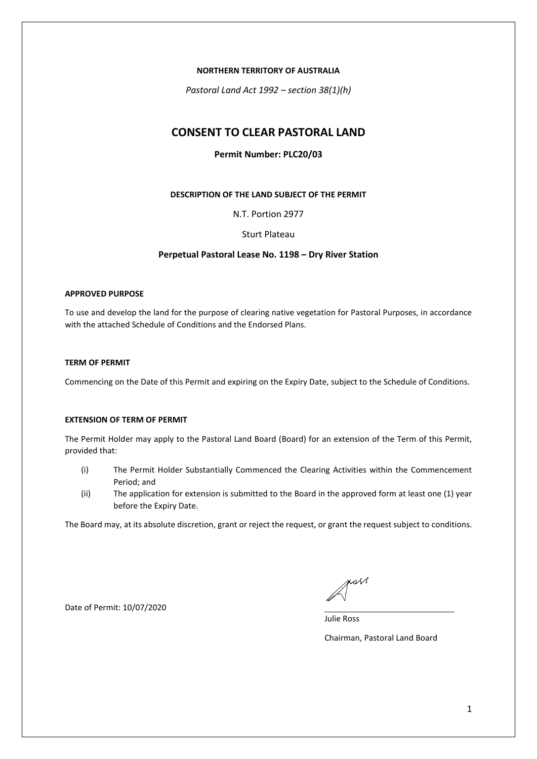### **NORTHERN TERRITORY OF AUSTRALIA**

*Pastoral Land Act 1992 – section 38(1)(h)*

# **CONSENT TO CLEAR PASTORAL LAND**

# **Permit Number: PLC20/03**

## **DESCRIPTION OF THE LAND SUBJECT OF THE PERMIT**

N.T. Portion 2977

## Sturt Plateau

## **Perpetual Pastoral Lease No. 1198 – Dry River Station**

#### **APPROVED PURPOSE**

To use and develop the land for the purpose of clearing native vegetation for Pastoral Purposes, in accordance with the attached Schedule of Conditions and the Endorsed Plans.

## **TERM OF PERMIT**

Commencing on the Date of this Permit and expiring on the Expiry Date, subject to the Schedule of Conditions.

#### **EXTENSION OF TERM OF PERMIT**

The Permit Holder may apply to the Pastoral Land Board (Board) for an extension of the Term of this Permit, provided that:

- (i) The Permit Holder Substantially Commenced the Clearing Activities within the Commencement Period; and
- (ii) The application for extension is submitted to the Board in the approved form at least one (1) year before the Expiry Date.

The Board may, at its absolute discretion, grant or reject the request, or grant the request subject to conditions.

Date of Permit: 10/07/2020

poss

Julie Ross

Chairman, Pastoral Land Board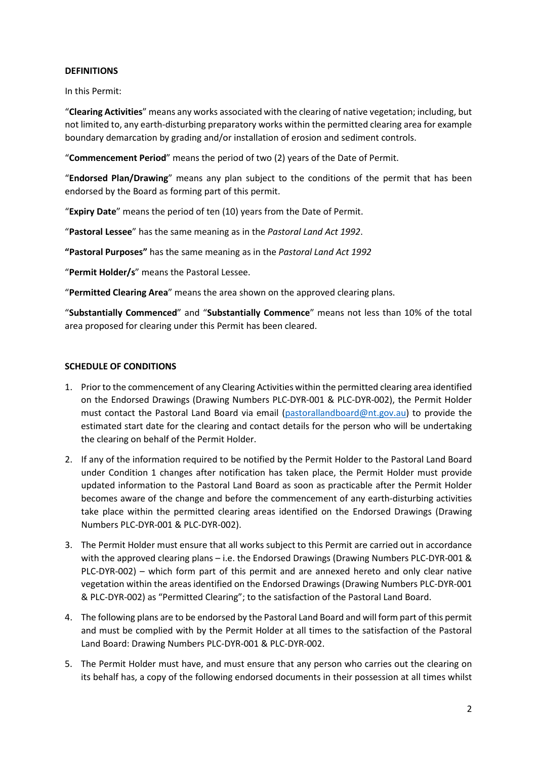# **DEFINITIONS**

In this Permit:

"**Clearing Activities**" means any works associated with the clearing of native vegetation; including, but not limited to, any earth-disturbing preparatory works within the permitted clearing area for example boundary demarcation by grading and/or installation of erosion and sediment controls.

"**Commencement Period**" means the period of two (2) years of the Date of Permit.

"**Endorsed Plan/Drawing**" means any plan subject to the conditions of the permit that has been endorsed by the Board as forming part of this permit.

"**Expiry Date**" means the period of ten (10) years from the Date of Permit.

"**Pastoral Lessee**" has the same meaning as in the *Pastoral Land Act 1992*.

**"Pastoral Purposes"** has the same meaning as in the *Pastoral Land Act 1992*

"**Permit Holder/s**" means the Pastoral Lessee.

"**Permitted Clearing Area**" means the area shown on the approved clearing plans.

"**Substantially Commenced**" and "**Substantially Commence**" means not less than 10% of the total area proposed for clearing under this Permit has been cleared.

# **SCHEDULE OF CONDITIONS**

- 1. Prior to the commencement of any Clearing Activities within the permitted clearing area identified on the Endorsed Drawings (Drawing Numbers PLC-DYR-001 & PLC-DYR-002), the Permit Holder must contact the Pastoral Land Board via email [\(pastorallandboard@nt.gov.au\)](mailto:pastorallandboard@nt.gov.au) to provide the estimated start date for the clearing and contact details for the person who will be undertaking the clearing on behalf of the Permit Holder.
- 2. If any of the information required to be notified by the Permit Holder to the Pastoral Land Board under Condition 1 changes after notification has taken place, the Permit Holder must provide updated information to the Pastoral Land Board as soon as practicable after the Permit Holder becomes aware of the change and before the commencement of any earth-disturbing activities take place within the permitted clearing areas identified on the Endorsed Drawings (Drawing Numbers PLC-DYR-001 & PLC-DYR-002).
- 3. The Permit Holder must ensure that all works subject to this Permit are carried out in accordance with the approved clearing plans – i.e. the Endorsed Drawings (Drawing Numbers PLC-DYR-001 & PLC-DYR-002) – which form part of this permit and are annexed hereto and only clear native vegetation within the areas identified on the Endorsed Drawings (Drawing Numbers PLC-DYR-001 & PLC-DYR-002) as "Permitted Clearing"; to the satisfaction of the Pastoral Land Board.
- 4. The following plans are to be endorsed by the Pastoral Land Board and will form part of this permit and must be complied with by the Permit Holder at all times to the satisfaction of the Pastoral Land Board: Drawing Numbers PLC-DYR-001 & PLC-DYR-002.
- 5. The Permit Holder must have, and must ensure that any person who carries out the clearing on its behalf has, a copy of the following endorsed documents in their possession at all times whilst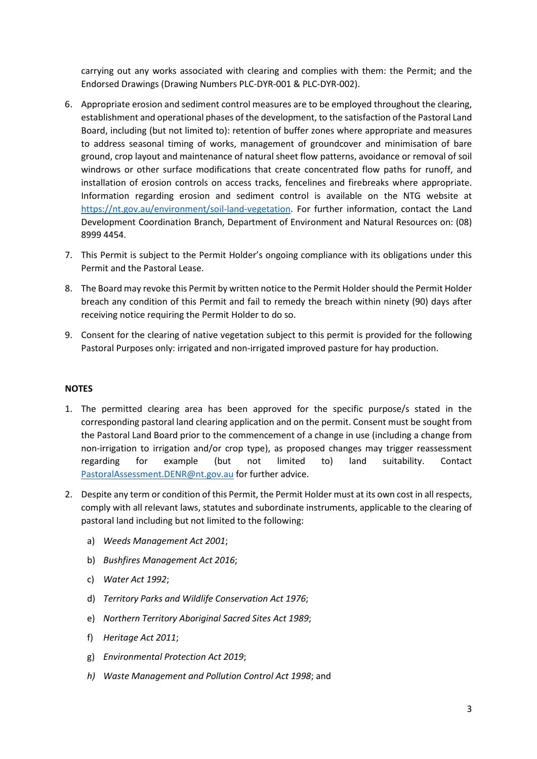carrying out any works associated with clearing and complies with them: the Permit; and the Endorsed Drawings (Drawing Numbers PLC-DYR-001 & PLC-DYR-002).

- 6. Appropriate erosion and sediment control measures are to be employed throughout the clearing, establishment and operational phases of the development, to the satisfaction of the Pastoral Land Board, including (but not limited to): retention of buffer zones where appropriate and measures to address seasonal timing of works, management of groundcover and minimisation of bare ground, crop layout and maintenance of natural sheet flow patterns, avoidance or removal of soil windrows or other surface modifications that create concentrated flow paths for runoff, and installation of erosion controls on access tracks, fencelines and firebreaks where appropriate. Information regarding erosion and sediment control is available on the NTG website at [https://nt.gov.au/environment/soil-land-vegetation.](https://nt.gov.au/environment/soil-land-vegetation) For further information, contact the Land Development Coordination Branch, Department of Environment and Natural Resources on: (08) 8999 4454.
- 7. This Permit is subject to the Permit Holder's ongoing compliance with its obligations under this Permit and the Pastoral Lease.
- 8. The Board may revoke this Permit by written notice to the Permit Holder should the Permit Holder breach any condition of this Permit and fail to remedy the breach within ninety (90) days after receiving notice requiring the Permit Holder to do so.
- 9. Consent for the clearing of native vegetation subject to this permit is provided for the following Pastoral Purposes only: irrigated and non-irrigated improved pasture for hay production.

# **NOTES**

- 1. The permitted clearing area has been approved for the specific purpose/s stated in the corresponding pastoral land clearing application and on the permit. Consent must be sought from the Pastoral Land Board prior to the commencement of a change in use (including a change from non-irrigation to irrigation and/or crop type), as proposed changes may trigger reassessment regarding for example (but not limited to) land suitability. Contact [PastoralAssessment.DENR@nt.gov.au](mailto:PastoralAssessment.DENR@nt.gov.au) for further advice.
- 2. Despite any term or condition of this Permit, the Permit Holder must at its own cost in all respects, comply with all relevant laws, statutes and subordinate instruments, applicable to the clearing of pastoral land including but not limited to the following:
	- a) *Weeds Management Act 2001*;
	- b) *Bushfires Management Act 2016*;
	- c) *Water Act 1992*;
	- d) *Territory Parks and Wildlife Conservation Act 1976*;
	- e) *Northern Territory Aboriginal Sacred Sites Act 1989*;
	- f) *Heritage Act 2011*;
	- g) *Environmental Protection Act 2019*;
	- *h) Waste Management and Pollution Control Act 1998*; and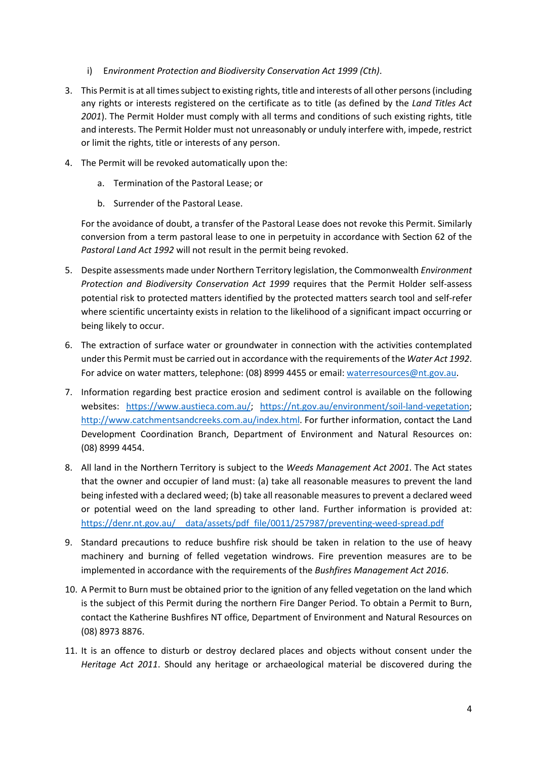- i) E*nvironment Protection and Biodiversity Conservation Act 1999 (Cth)*.
- 3. This Permit is at all times subject to existing rights, title and interests of all other persons (including any rights or interests registered on the certificate as to title (as defined by the *Land Titles Act 2001*). The Permit Holder must comply with all terms and conditions of such existing rights, title and interests. The Permit Holder must not unreasonably or unduly interfere with, impede, restrict or limit the rights, title or interests of any person.
- 4. The Permit will be revoked automatically upon the:
	- a. Termination of the Pastoral Lease; or
	- b. Surrender of the Pastoral Lease.

For the avoidance of doubt, a transfer of the Pastoral Lease does not revoke this Permit. Similarly conversion from a term pastoral lease to one in perpetuity in accordance with Section 62 of the *Pastoral Land Act 1992* will not result in the permit being revoked.

- 5. Despite assessments made under Northern Territory legislation, the Commonwealth *Environment Protection and Biodiversity Conservation Act 1999* requires that the Permit Holder self-assess potential risk to protected matters identified by the protected matters search tool and self-refer where scientific uncertainty exists in relation to the likelihood of a significant impact occurring or being likely to occur.
- 6. The extraction of surface water or groundwater in connection with the activities contemplated under this Permit must be carried out in accordance with the requirements of the *Water Act 1992*. For advice on water matters, telephone: (08) 8999 4455 or email: [waterresources@nt.gov.au.](mailto:waterresources@nt.gov.au)
- 7. Information regarding best practice erosion and sediment control is available on the following websites: [https://www.austieca.com.au/;](https://www.austieca.com.au/) [https://nt.gov.au/environment/soil-land-vegetation;](https://nt.gov.au/environment/soil-land-vegetation) [http://www.catchmentsandcreeks.com.au/index.html.](http://www.catchmentsandcreeks.com.au/index.html) For further information, contact the Land Development Coordination Branch, Department of Environment and Natural Resources on: (08) 8999 4454.
- 8. All land in the Northern Territory is subject to the *Weeds Management Act 2001*. The Act states that the owner and occupier of land must: (a) take all reasonable measures to prevent the land being infested with a declared weed; (b) take all reasonable measures to prevent a declared weed or potential weed on the land spreading to other land. Further information is provided at: [https://denr.nt.gov.au/\\_\\_data/assets/pdf\\_file/0011/257987/preventing-weed-spread.pdf](https://denr.nt.gov.au/__data/assets/pdf_file/0011/257987/preventing-weed-spread.pdf)
- 9. Standard precautions to reduce bushfire risk should be taken in relation to the use of heavy machinery and burning of felled vegetation windrows. Fire prevention measures are to be implemented in accordance with the requirements of the *Bushfires Management Act 2016*.
- 10. A Permit to Burn must be obtained prior to the ignition of any felled vegetation on the land which is the subject of this Permit during the northern Fire Danger Period. To obtain a Permit to Burn, contact the Katherine Bushfires NT office, Department of Environment and Natural Resources on (08) 8973 8876.
- 11. It is an offence to disturb or destroy declared places and objects without consent under the *Heritage Act 2011*. Should any heritage or archaeological material be discovered during the